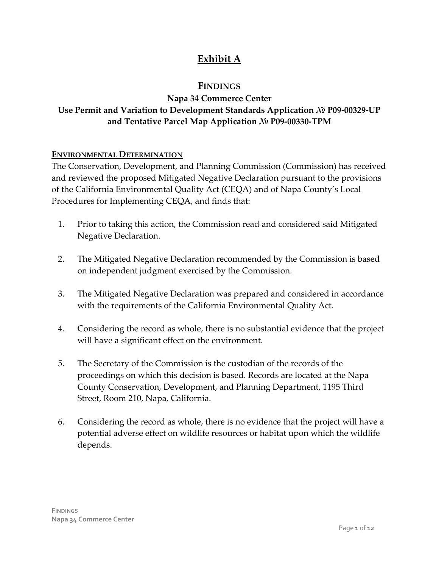# **Exhibit A**

# **FINDINGS**

# **Napa 34 Commerce Center Use Permit and Variation to Development Standards Application** *№* **P09‐00329‐UP and Tentative Parcel Map Application** *№* **P09‐00330‐TPM**

#### **ENVIRONMENTAL DETERMINATION**

The Conservation, Development, and Planning Commission (Commission) has received and reviewed the proposed Mitigated Negative Declaration pursuant to the provisions of the California Environmental Quality Act (CEQA) and of Napa County's Local Procedures for Implementing CEQA, and finds that:

- 1. Prior to taking this action, the Commission read and considered said Mitigated Negative Declaration.
- 2. The Mitigated Negative Declaration recommended by the Commission is based on independent judgment exercised by the Commission.
- 3. The Mitigated Negative Declaration was prepared and considered in accordance with the requirements of the California Environmental Quality Act.
- 4. Considering the record as whole, there is no substantial evidence that the project will have a significant effect on the environment.
- 5. The Secretary of the Commission is the custodian of the records of the proceedings on which this decision is based. Records are located at the Napa County Conservation, Development, and Planning Department, 1195 Third Street, Room 210, Napa, California.
- 6. Considering the record as whole, there is no evidence that the project will have a potential adverse effect on wildlife resources or habitat upon which the wildlife depends.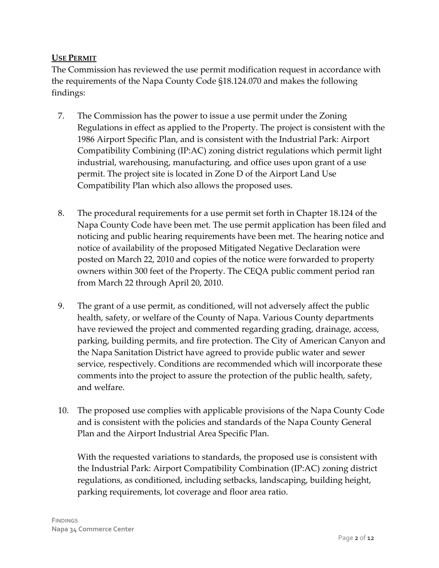## **USE PERMIT**

The Commission has reviewed the use permit modification request in accordance with the requirements of the Napa County Code §18.124.070 and makes the following findings:

- 7. The Commission has the power to issue a use permit under the Zoning Regulations in effect as applied to the Property. The project is consistent with the 1986 Airport Specific Plan, and is consistent with the Industrial Park: Airport Compatibility Combining (IP:AC) zoning district regulations which permit light industrial, warehousing, manufacturing, and office uses upon grant of a use permit. The project site is located in Zone D of the Airport Land Use Compatibility Plan which also allows the proposed uses.
- 8. The procedural requirements for a use permit set forth in Chapter 18.124 of the Napa County Code have been met. The use permit application has been filed and noticing and public hearing requirements have been met. The hearing notice and notice of availability of the proposed Mitigated Negative Declaration were posted on March 22, 2010 and copies of the notice were forwarded to property owners within 300 feet of the Property. The CEQA public comment period ran from March 22 through April 20, 2010.
- 9. The grant of a use permit, as conditioned, will not adversely affect the public health, safety, or welfare of the County of Napa. Various County departments have reviewed the project and commented regarding grading, drainage, access, parking, building permits, and fire protection. The City of American Canyon and the Napa Sanitation District have agreed to provide public water and sewer service, respectively. Conditions are recommended which will incorporate these comments into the project to assure the protection of the public health, safety, and welfare.
- 10. The proposed use complies with applicable provisions of the Napa County Code and is consistent with the policies and standards of the Napa County General Plan and the Airport Industrial Area Specific Plan.

With the requested variations to standards, the proposed use is consistent with the Industrial Park: Airport Compatibility Combination (IP:AC) zoning district regulations, as conditioned, including setbacks, landscaping, building height, parking requirements, lot coverage and floor area ratio.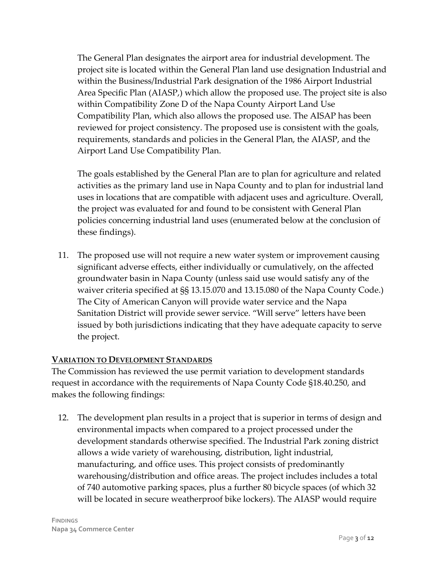The General Plan designates the airport area for industrial development. The project site is located within the General Plan land use designation Industrial and within the Business/Industrial Park designation of the 1986 Airport Industrial Area Specific Plan (AIASP,) which allow the proposed use. The project site is also within Compatibility Zone D of the Napa County Airport Land Use Compatibility Plan, which also allows the proposed use. The AISAP has been reviewed for project consistency. The proposed use is consistent with the goals, requirements, standards and policies in the General Plan, the AIASP, and the Airport Land Use Compatibility Plan.

The goals established by the General Plan are to plan for agriculture and related activities as the primary land use in Napa County and to plan for industrial land uses in locations that are compatible with adjacent uses and agriculture. Overall, the project was evaluated for and found to be consistent with General Plan policies concerning industrial land uses (enumerated below at the conclusion of these findings).

11. The proposed use will not require a new water system or improvement causing significant adverse effects, either individually or cumulatively, on the affected groundwater basin in Napa County (unless said use would satisfy any of the waiver criteria specified at §§ 13.15.070 and 13.15.080 of the Napa County Code.) The City of American Canyon will provide water service and the Napa Sanitation District will provide sewer service. "Will serve" letters have been issued by both jurisdictions indicating that they have adequate capacity to serve the project.

#### **VARIATION TO DEVELOPMENT STANDARDS**

The Commission has reviewed the use permit variation to development standards request in accordance with the requirements of Napa County Code §18.40.250, and makes the following findings:

12. The development plan results in a project that is superior in terms of design and environmental impacts when compared to a project processed under the development standards otherwise specified. The Industrial Park zoning district allows a wide variety of warehousing, distribution, light industrial, manufacturing, and office uses. This project consists of predominantly warehousing/distribution and office areas. The project includes includes a total of 740 automotive parking spaces, plus a further 80 bicycle spaces (of which 32 will be located in secure weatherproof bike lockers). The AIASP would require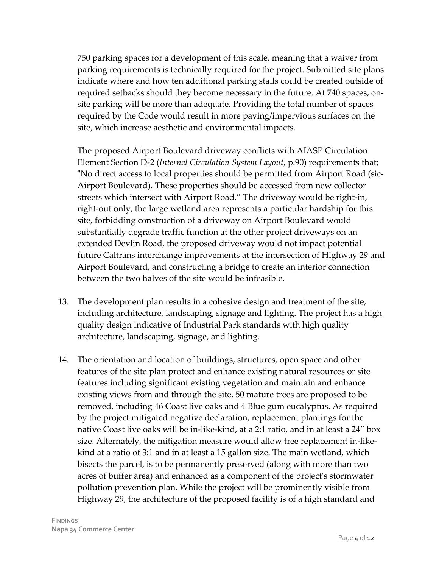750 parking spaces for a development of this scale, meaning that a waiver from parking requirements is technically required for the project. Submitted site plans indicate where and how ten additional parking stalls could be created outside of required setbacks should they become necessary in the future. At 740 spaces, on‐ site parking will be more than adequate. Providing the total number of spaces required by the Code would result in more paving/impervious surfaces on the site, which increase aesthetic and environmental impacts.

The proposed Airport Boulevard driveway conflicts with AIASP Circulation Element Section D‐2 (*Internal Circulation System Layout*, p.90) requirements that; ʺNo direct access to local properties should be permitted from Airport Road (sic‐ Airport Boulevard). These properties should be accessed from new collector streets which intersect with Airport Road." The driveway would be right‐in, right‐out only, the large wetland area represents a particular hardship for this site, forbidding construction of a driveway on Airport Boulevard would substantially degrade traffic function at the other project driveways on an extended Devlin Road, the proposed driveway would not impact potential future Caltrans interchange improvements at the intersection of Highway 29 and Airport Boulevard, and constructing a bridge to create an interior connection between the two halves of the site would be infeasible.

- 13. The development plan results in a cohesive design and treatment of the site, including architecture, landscaping, signage and lighting. The project has a high quality design indicative of Industrial Park standards with high quality architecture, landscaping, signage, and lighting.
- 14. The orientation and location of buildings, structures, open space and other features of the site plan protect and enhance existing natural resources or site features including significant existing vegetation and maintain and enhance existing views from and through the site. 50 mature trees are proposed to be removed, including 46 Coast live oaks and 4 Blue gum eucalyptus. As required by the project mitigated negative declaration, replacement plantings for the native Coast live oaks will be in-like-kind, at a 2:1 ratio, and in at least a 24" box size. Alternately, the mitigation measure would allow tree replacement in‐like‐ kind at a ratio of 3:1 and in at least a 15 gallon size. The main wetland, which bisects the parcel, is to be permanently preserved (along with more than two acres of buffer area) and enhanced as a component of the projectʹs stormwater pollution prevention plan. While the project will be prominently visible from Highway 29, the architecture of the proposed facility is of a high standard and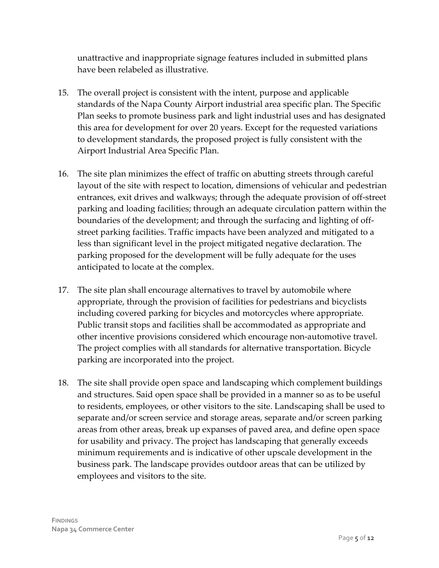unattractive and inappropriate signage features included in submitted plans have been relabeled as illustrative.

- 15. The overall project is consistent with the intent, purpose and applicable standards of the Napa County Airport industrial area specific plan. The Specific Plan seeks to promote business park and light industrial uses and has designated this area for development for over 20 years. Except for the requested variations to development standards, the proposed project is fully consistent with the Airport Industrial Area Specific Plan.
- 16. The site plan minimizes the effect of traffic on abutting streets through careful layout of the site with respect to location, dimensions of vehicular and pedestrian entrances, exit drives and walkways; through the adequate provision of off-street parking and loading facilities; through an adequate circulation pattern within the boundaries of the development; and through the surfacing and lighting of off‐ street parking facilities. Traffic impacts have been analyzed and mitigated to a less than significant level in the project mitigated negative declaration. The parking proposed for the development will be fully adequate for the uses anticipated to locate at the complex.
- 17. The site plan shall encourage alternatives to travel by automobile where appropriate, through the provision of facilities for pedestrians and bicyclists including covered parking for bicycles and motorcycles where appropriate. Public transit stops and facilities shall be accommodated as appropriate and other incentive provisions considered which encourage non‐automotive travel. The project complies with all standards for alternative transportation. Bicycle parking are incorporated into the project.
- 18. The site shall provide open space and landscaping which complement buildings and structures. Said open space shall be provided in a manner so as to be useful to residents, employees, or other visitors to the site. Landscaping shall be used to separate and/or screen service and storage areas, separate and/or screen parking areas from other areas, break up expanses of paved area, and define open space for usability and privacy. The project has landscaping that generally exceeds minimum requirements and is indicative of other upscale development in the business park. The landscape provides outdoor areas that can be utilized by employees and visitors to the site.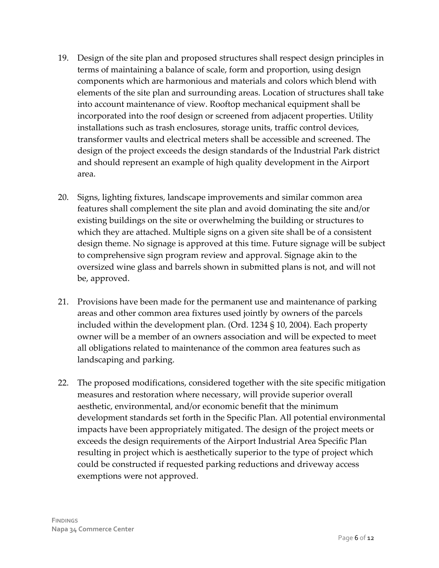- 19. Design of the site plan and proposed structures shall respect design principles in terms of maintaining a balance of scale, form and proportion, using design components which are harmonious and materials and colors which blend with elements of the site plan and surrounding areas. Location of structures shall take into account maintenance of view. Rooftop mechanical equipment shall be incorporated into the roof design or screened from adjacent properties. Utility installations such as trash enclosures, storage units, traffic control devices, transformer vaults and electrical meters shall be accessible and screened. The design of the project exceeds the design standards of the Industrial Park district and should represent an example of high quality development in the Airport area.
- 20. Signs, lighting fixtures, landscape improvements and similar common area features shall complement the site plan and avoid dominating the site and/or existing buildings on the site or overwhelming the building or structures to which they are attached. Multiple signs on a given site shall be of a consistent design theme. No signage is approved at this time. Future signage will be subject to comprehensive sign program review and approval. Signage akin to the oversized wine glass and barrels shown in submitted plans is not, and will not be, approved.
- 21. Provisions have been made for the permanent use and maintenance of parking areas and other common area fixtures used jointly by owners of the parcels included within the development plan. (Ord. 1234 § 10, 2004). Each property owner will be a member of an owners association and will be expected to meet all obligations related to maintenance of the common area features such as landscaping and parking.
- 22. The proposed modifications, considered together with the site specific mitigation measures and restoration where necessary, will provide superior overall aesthetic, environmental, and/or economic benefit that the minimum development standards set forth in the Specific Plan. All potential environmental impacts have been appropriately mitigated. The design of the project meets or exceeds the design requirements of the Airport Industrial Area Specific Plan resulting in project which is aesthetically superior to the type of project which could be constructed if requested parking reductions and driveway access exemptions were not approved.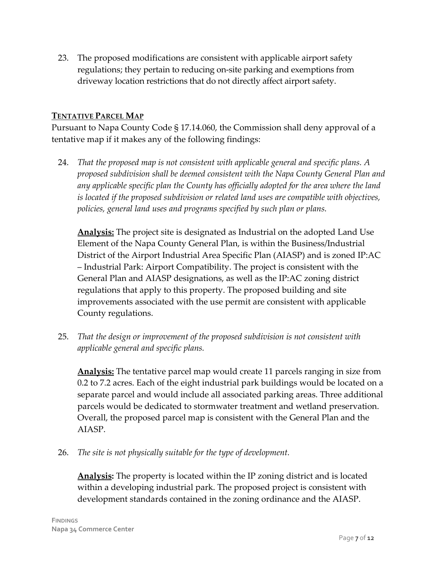23. The proposed modifications are consistent with applicable airport safety regulations; they pertain to reducing on‐site parking and exemptions from driveway location restrictions that do not directly affect airport safety.

#### **TENTATIVE PARCEL MAP**

Pursuant to Napa County Code § 17.14.060, the Commission shall deny approval of a tentative map if it makes any of the following findings:

24. *That the proposed map is not consistent with applicable general and specific plans. A proposed subdivision shall be deemed consistent with the Napa County General Plan and any applicable specific plan the County has officially adopted for the area where the land is located if the proposed subdivision or related land uses are compatible with objectives, policies, general land uses and programs specified by such plan or plans.*

**Analysis:** The project site is designated as Industrial on the adopted Land Use Element of the Napa County General Plan, is within the Business/Industrial District of the Airport Industrial Area Specific Plan (AIASP) and is zoned IP:AC – Industrial Park: Airport Compatibility. The project is consistent with the General Plan and AIASP designations, as well as the IP:AC zoning district regulations that apply to this property. The proposed building and site improvements associated with the use permit are consistent with applicable County regulations.

25. *That the design or improvement of the proposed subdivision is not consistent with applicable general and specific plans.*

**Analysis:** The tentative parcel map would create 11 parcels ranging in size from 0.2 to 7.2 acres. Each of the eight industrial park buildings would be located on a separate parcel and would include all associated parking areas. Three additional parcels would be dedicated to stormwater treatment and wetland preservation. Overall, the proposed parcel map is consistent with the General Plan and the AIASP.

26. *The site is not physically suitable for the type of development.*

**Analysis:** The property is located within the IP zoning district and is located within a developing industrial park. The proposed project is consistent with development standards contained in the zoning ordinance and the AIASP.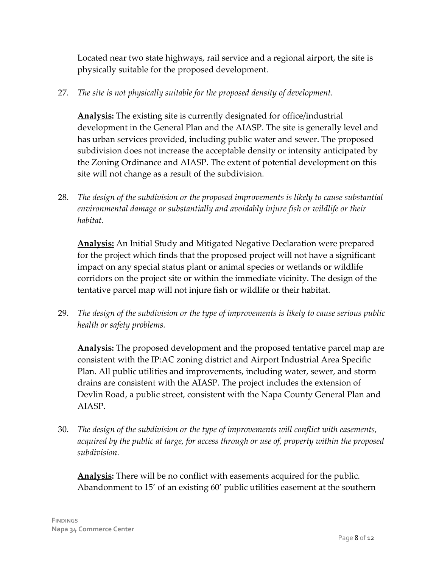Located near two state highways, rail service and a regional airport, the site is physically suitable for the proposed development.

27. *The site is not physically suitable for the proposed density of development.*

**Analysis:** The existing site is currently designated for office/industrial development in the General Plan and the AIASP. The site is generally level and has urban services provided, including public water and sewer. The proposed subdivision does not increase the acceptable density or intensity anticipated by the Zoning Ordinance and AIASP. The extent of potential development on this site will not change as a result of the subdivision.

28. *The design of the subdivision or the proposed improvements is likely to cause substantial environmental damage or substantially and avoidably injure fish or wildlife or their habitat.*

**Analysis:** An Initial Study and Mitigated Negative Declaration were prepared for the project which finds that the proposed project will not have a significant impact on any special status plant or animal species or wetlands or wildlife corridors on the project site or within the immediate vicinity. The design of the tentative parcel map will not injure fish or wildlife or their habitat.

29. *The design of the subdivision or the type of improvements is likely to cause serious public health or safety problems.*

**Analysis:** The proposed development and the proposed tentative parcel map are consistent with the IP:AC zoning district and Airport Industrial Area Specific Plan. All public utilities and improvements, including water, sewer, and storm drains are consistent with the AIASP. The project includes the extension of Devlin Road, a public street, consistent with the Napa County General Plan and AIASP.

30. *The design of the subdivision or the type of improvements will conflict with easements, acquired by the public at large, for access through or use of, property within the proposed subdivision.*

**Analysis:** There will be no conflict with easements acquired for the public. Abandonment to 15' of an existing 60' public utilities easement at the southern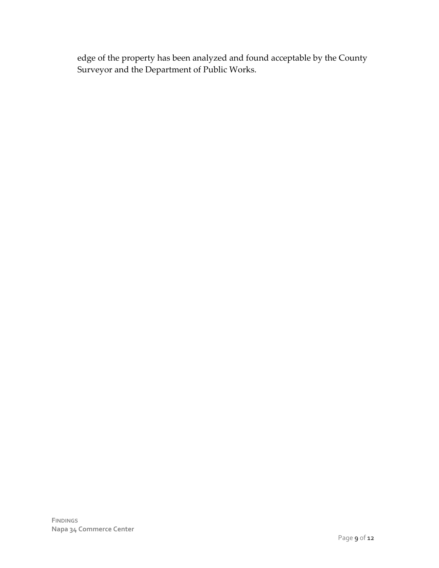edge of the property has been analyzed and found acceptable by the County Surveyor and the Department of Public Works.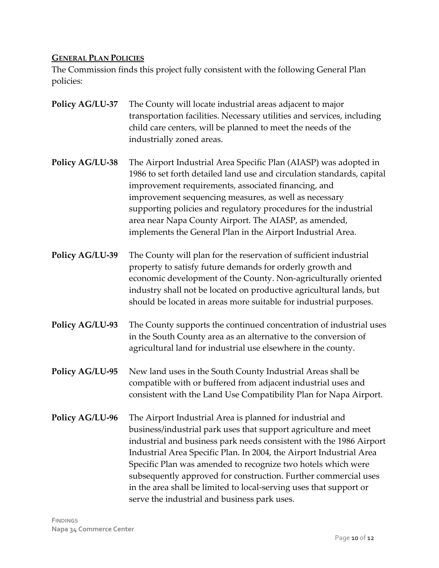## **GENERAL PLAN POLICIES**

The Commission finds this project fully consistent with the following General Plan policies:

| <b>Policy AG/LU-37</b> | The County will locate industrial areas adjacent to major<br>transportation facilities. Necessary utilities and services, including<br>child care centers, will be planned to meet the needs of the<br>industrially zoned areas.                                                                                                                                                                                                                                                                                                    |
|------------------------|-------------------------------------------------------------------------------------------------------------------------------------------------------------------------------------------------------------------------------------------------------------------------------------------------------------------------------------------------------------------------------------------------------------------------------------------------------------------------------------------------------------------------------------|
| <b>Policy AG/LU-38</b> | The Airport Industrial Area Specific Plan (AIASP) was adopted in<br>1986 to set forth detailed land use and circulation standards, capital<br>improvement requirements, associated financing, and<br>improvement sequencing measures, as well as necessary<br>supporting policies and regulatory procedures for the industrial<br>area near Napa County Airport. The AIASP, as amended,<br>implements the General Plan in the Airport Industrial Area.                                                                              |
| <b>Policy AG/LU-39</b> | The County will plan for the reservation of sufficient industrial<br>property to satisfy future demands for orderly growth and<br>economic development of the County. Non-agriculturally oriented<br>industry shall not be located on productive agricultural lands, but<br>should be located in areas more suitable for industrial purposes.                                                                                                                                                                                       |
| <b>Policy AG/LU-93</b> | The County supports the continued concentration of industrial uses<br>in the South County area as an alternative to the conversion of<br>agricultural land for industrial use elsewhere in the county.                                                                                                                                                                                                                                                                                                                              |
| <b>Policy AG/LU-95</b> | New land uses in the South County Industrial Areas shall be<br>compatible with or buffered from adjacent industrial uses and<br>consistent with the Land Use Compatibility Plan for Napa Airport.                                                                                                                                                                                                                                                                                                                                   |
| <b>Policy AG/LU-96</b> | The Airport Industrial Area is planned for industrial and<br>business/industrial park uses that support agriculture and meet<br>industrial and business park needs consistent with the 1986 Airport<br>Industrial Area Specific Plan. In 2004, the Airport Industrial Area<br>Specific Plan was amended to recognize two hotels which were<br>subsequently approved for construction. Further commercial uses<br>in the area shall be limited to local-serving uses that support or<br>serve the industrial and business park uses. |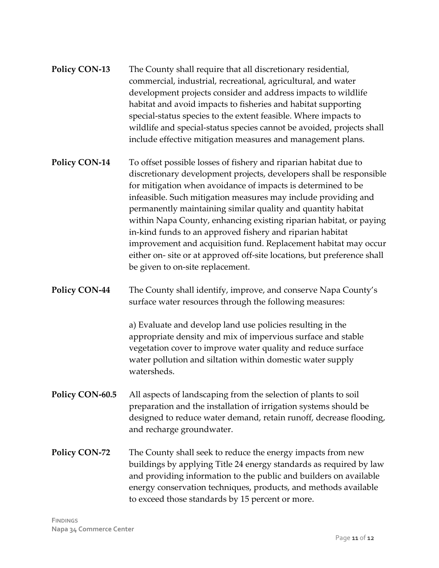- **Policy CON-13** The County shall require that all discretionary residential, commercial, industrial, recreational, agricultural, and water development projects consider and address impacts to wildlife habitat and avoid impacts to fisheries and habitat supporting special‐status species to the extent feasible. Where impacts to wildlife and special-status species cannot be avoided, projects shall include effective mitigation measures and management plans.
- **Policy CON‐14** To offset possible losses of fishery and riparian habitat due to discretionary development projects, developers shall be responsible for mitigation when avoidance of impacts is determined to be infeasible. Such mitigation measures may include providing and permanently maintaining similar quality and quantity habitat within Napa County, enhancing existing riparian habitat, or paying in‐kind funds to an approved fishery and riparian habitat improvement and acquisition fund. Replacement habitat may occur either on‐ site or at approved off‐site locations, but preference shall be given to on-site replacement.
- **Policy CON‐44** The County shall identify, improve, and conserve Napa County's surface water resources through the following measures:

a) Evaluate and develop land use policies resulting in the appropriate density and mix of impervious surface and stable vegetation cover to improve water quality and reduce surface water pollution and siltation within domestic water supply watersheds.

- **Policy CON-60.5** All aspects of landscaping from the selection of plants to soil preparation and the installation of irrigation systems should be designed to reduce water demand, retain runoff, decrease flooding, and recharge groundwater.
- **Policy CON‐72** The County shall seek to reduce the energy impacts from new buildings by applying Title 24 energy standards as required by law and providing information to the public and builders on available energy conservation techniques, products, and methods available to exceed those standards by 15 percent or more.